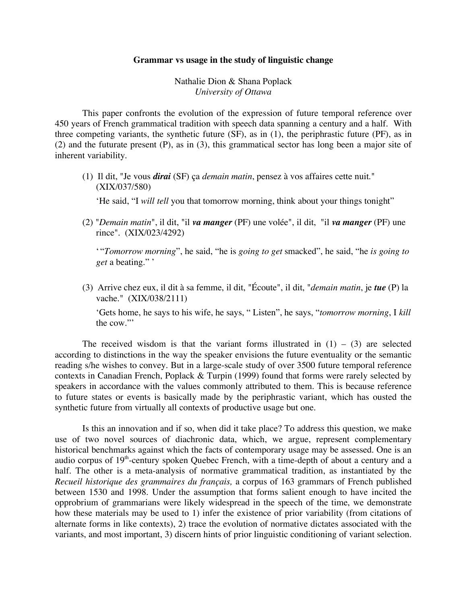## **Grammar vs usage in the study of linguistic change**

Nathalie Dion & Shana Poplack *University of Ottawa*

This paper confronts the evolution of the expression of future temporal reference over 450 years of French grammatical tradition with speech data spanning a century and a half. With three competing variants, the synthetic future (SF), as in (1), the periphrastic future (PF), as in (2) and the futurate present (P), as in (3), this grammatical sector has long been a major site of inherent variability.

(1) Il dit, "Je vous *dirai* (SF) ça *demain matin*, pensez à vos affaires cette nuit." (XIX/037/580)

'He said, "I *will tell* you that tomorrow morning, think about your things tonight"

(2) "*Demain matin*", il dit, "il *va manger* (PF) une volée", il dit, "il *va manger* (PF) une rince". (XIX/023/4292)

' "*Tomorrow morning*", he said, "he is *going to get* smacked", he said, "he *is going to get* a beating." '

(3) Arrive chez eux, il dit à sa femme, il dit, "Écoute", il dit, "*demain matin*, je *tue* (P) la vache." (XIX/038/2111)

'Gets home, he says to his wife, he says, " Listen", he says, "*tomorrow morning*, I *kill* the cow."'

The received wisdom is that the variant forms illustrated in  $(1) - (3)$  are selected according to distinctions in the way the speaker envisions the future eventuality or the semantic reading s/he wishes to convey. But in a large-scale study of over 3500 future temporal reference contexts in Canadian French, Poplack & Turpin (1999) found that forms were rarely selected by speakers in accordance with the values commonly attributed to them. This is because reference to future states or events is basically made by the periphrastic variant, which has ousted the synthetic future from virtually all contexts of productive usage but one.

Is this an innovation and if so, when did it take place? To address this question, we make use of two novel sources of diachronic data, which, we argue, represent complementary historical benchmarks against which the facts of contemporary usage may be assessed. One is an audio corpus of  $19<sup>th</sup>$ -century spoken Quebec French, with a time-depth of about a century and a half. The other is a meta-analysis of normative grammatical tradition, as instantiated by the *Recueil historique des grammaires du français,* a corpus of 163 grammars of French published between 1530 and 1998. Under the assumption that forms salient enough to have incited the opprobrium of grammarians were likely widespread in the speech of the time, we demonstrate how these materials may be used to 1) infer the existence of prior variability (from citations of alternate forms in like contexts), 2) trace the evolution of normative dictates associated with the variants, and most important, 3) discern hints of prior linguistic conditioning of variant selection.